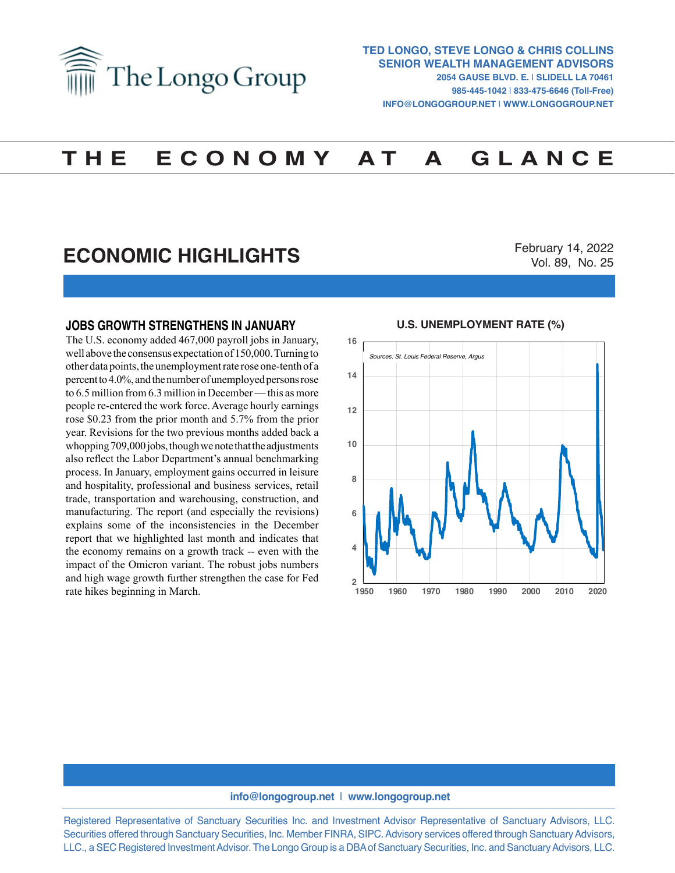

# **T H E E C O N O M Y A T A G L A N C E**

## **ECONOMIC HIGHLIGHTS**

February 14, 2022 Vol. 89, No. 25

#### **JOBS GROWTH STRENGTHENS IN JANUARY**

The U.S. economy added 467,000 payroll jobs in January, well above the consensus expectation of 150,000. Turning to other data points, the unemployment rate rose one-tenth of a percent to 4.0%, and the number of unemployed persons rose to 6.5 million from 6.3 million in December — this as more people re-entered the work force. Average hourly earnings rose \$0.23 from the prior month and 5.7% from the prior year. Revisions for the two previous months added back a whopping 709,000 jobs, though we note that the adjustments also reflect the Labor Department's annual benchmarking process. In January, employment gains occurred in leisure and hospitality, professional and business services, retail trade, transportation and warehousing, construction, and manufacturing. The report (and especially the revisions) explains some of the inconsistencies in the December report that we highlighted last month and indicates that the economy remains on a growth track -- even with the impact of the Omicron variant. The robust jobs numbers and high wage growth further strengthen the case for Fed rate hikes beginning in March.

#### **U.S. UNEMPLOYMENT RATE (%) U.S. UNEMPLOYMENT RATE (%)**



#### **info@longogroup.net** | **www.longogroup.net**

Registered Representative of Sanctuary Securities Inc. and Investment Advisor Representative of Sanctuary Advisors, LLC. Securities offered through Sanctuary Securities, Inc. Member FINRA, SIPC. Advisory services offered through Sanctuary Advisors, LLC., a SEC Registered Investment Advisor. The Longo Group is a DBA of Sanctuary Securities, Inc. and Sanctuary Advisors, LLC.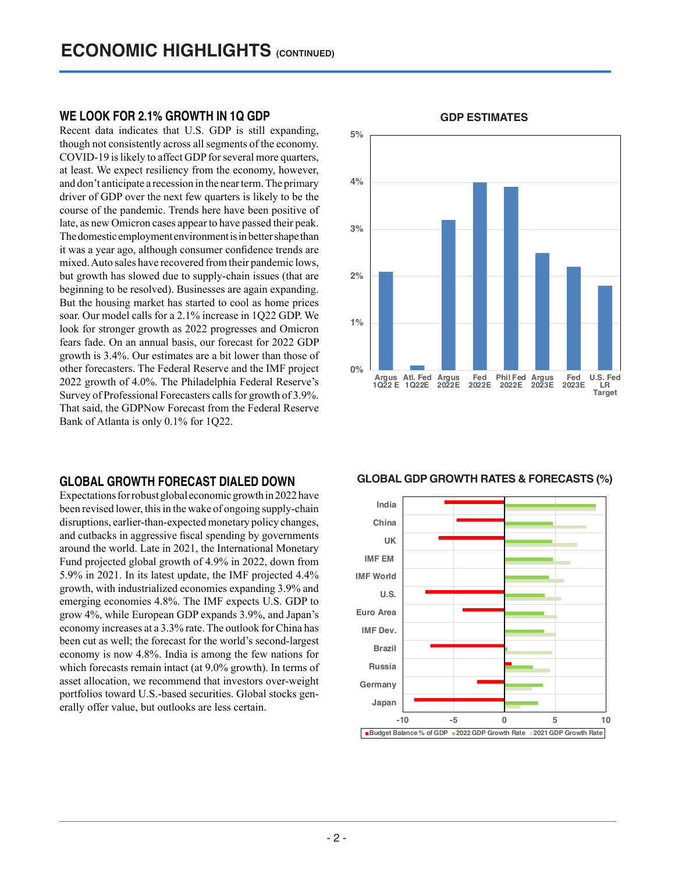### **WE LOOK FOR 2.1% GROWTH IN 1Q GDP**

Recent data indicates that U.S. GDP is still expanding, though not consistently across all segments of the economy. COVID-19 is likely to affect GDP for several more quarters, at least. We expect resiliency from the economy, however, and don't anticipate a recession in the near term. The primary driver of GDP over the next few quarters is likely to be the course of the pandemic. Trends here have been positive of late, as new Omicron cases appear to have passed their peak. The domestic employment environment is in better shape than it was a year ago, although consumer confidence trends are mixed. Auto sales have recovered from their pandemic lows, but growth has slowed due to supply-chain issues (that are beginning to be resolved). Businesses are again expanding. But the housing market has started to cool as home prices soar. Our model calls for a 2.1% increase in 1Q22 GDP. We look for stronger growth as 2022 progresses and Omicron fears fade. On an annual basis, our forecast for 2022 GDP growth is 3.4%. Our estimates are a bit lower than those of other forecasters. The Federal Reserve and the IMF project 2022 growth of 4.0%. The Philadelphia Federal Reserve's Survey of Professional Forecasters calls for growth of 3.9%. That said, the GDPNow Forecast from the Federal Reserve Bank of Atlanta is only 0.1% for 1Q22.

### **GLOBAL GROWTH FORECAST DIALED DOWN**

Expectations for robust global economic growth in 2022 have been revised lower, this in the wake of ongoing supply-chain disruptions, earlier-than-expected monetary policy changes, and cutbacks in aggressive fiscal spending by governments around the world. Late in 2021, the International Monetary Fund projected global growth of 4.9% in 2022, down from 5.9% in 2021. In its latest update, the IMF projected 4.4% growth, with industrialized economies expanding 3.9% and emerging economies 4.8%. The IMF expects U.S. GDP to grow 4%, while European GDP expands 3.9%, and Japan's economy increases at a 3.3% rate. The outlook for China has been cut as well; the forecast for the world's second-largest economy is now 4.8%. India is among the few nations for which forecasts remain intact (at 9.0% growth). In terms of asset allocation, we recommend that investors over-weight portfolios toward U.S.-based securities. Global stocks generally offer value, but outlooks are less certain.



## **GDP ESTIMATES GDP ESTIMATES**

**GLOBAL GDP GROWTH RATES & FORECASTS (%) GLOBAL GDP GROWTH RATES & FORECASTS (%)**

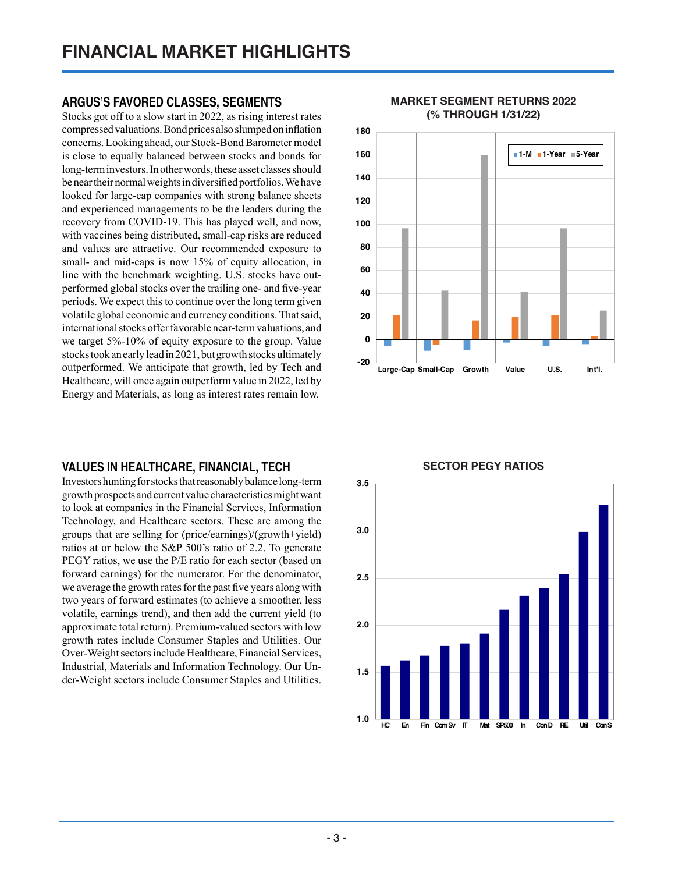## **ARGUS'S FAVORED CLASSES, SEGMENTS**

Stocks got off to a slow start in 2022, as rising interest rates compressed valuations. Bond prices also slumped on inflation concerns. Looking ahead, our Stock-Bond Barometer model is close to equally balanced between stocks and bonds for long-term investors. In other words, these asset classes should be near their normal weights in diversified portfolios. We have looked for large-cap companies with strong balance sheets and experienced managements to be the leaders during the recovery from COVID-19. This has played well, and now, with vaccines being distributed, small-cap risks are reduced and values are attractive. Our recommended exposure to small- and mid-caps is now 15% of equity allocation, in line with the benchmark weighting. U.S. stocks have outperformed global stocks over the trailing one- and five-year periods. We expect this to continue over the long term given volatile global economic and currency conditions. That said, international stocks offer favorable near-term valuations, and we target 5%-10% of equity exposure to the group. Value stocks took an early lead in 2021, but growth stocks ultimately outperformed. We anticipate that growth, led by Tech and Healthcare, will once again outperform value in 2022, led by Energy and Materials, as long as interest rates remain low.

### **VALUES IN HEALTHCARE, FINANCIAL, TECH**

Investors hunting for stocks that reasonably balance long-term growth prospects and current value characteristics might want to look at companies in the Financial Services, Information Technology, and Healthcare sectors. These are among the groups that are selling for (price/earnings)/(growth+yield) ratios at or below the S&P 500's ratio of 2.2. To generate PEGY ratios, we use the P/E ratio for each sector (based on forward earnings) for the numerator. For the denominator, we average the growth rates for the past five years along with two years of forward estimates (to achieve a smoother, less volatile, earnings trend), and then add the current yield (to approximate total return). Premium-valued sectors with low growth rates include Consumer Staples and Utilities. Our Over-Weight sectors include Healthcare, Financial Services, Industrial, Materials and Information Technology. Our Under-Weight sectors include Consumer Staples and Utilities.



#### **MARKET SEGMENT RETURNS 2022 (% THROUGH 1/31/22) MARKET SEGMENT RETURNS 2022 (% through 1/31/22)**

## **SECTOR PEGY RATIOS SECTOR PEGY RATIOS**